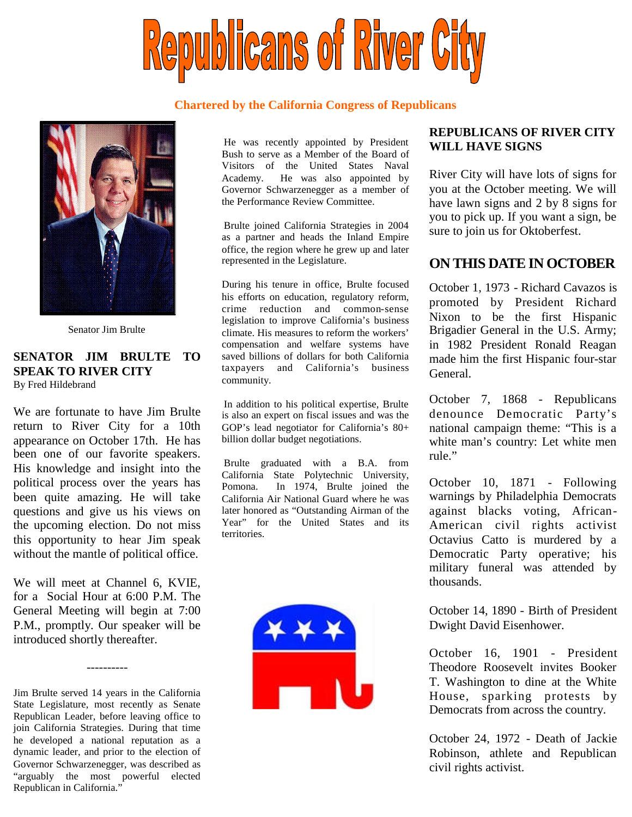

#### **Chartered by the California Congress of Republicans**



Senator Jim Brulte

#### **SENATOR JIM BRULTE TO SPEAK TO RIVER CITY** By Fred Hildebrand

We are fortunate to have Jim Brulte return to River City for a 10th appearance on October 17th. He has been one of our favorite speakers. His knowledge and insight into the political process over the years has been quite amazing. He will take questions and give us his views on the upcoming election. Do not miss this opportunity to hear Jim speak without the mantle of political office.

We will meet at Channel 6, KVIE, for a Social Hour at 6:00 P.M. The General Meeting will begin at 7:00 P.M., promptly. Our speaker will be introduced shortly thereafter.

----------

Jim Brulte served 14 years in the California State Legislature, most recently as Senate Republican Leader, before leaving office to join California Strategies. During that time he developed a national reputation as a dynamic leader, and prior to the election of Governor Schwarzenegger, was described as "arguably the most powerful elected Republican in California."

He was recently appointed by President Bush to serve as a Member of the Board of Visitors of the United States Naval Academy. He was also appointed by Governor Schwarzenegger as a member of the Performance Review Committee.

Brulte joined California Strategies in 2004 as a partner and heads the Inland Empire office, the region where he grew up and later represented in the Legislature.

During his tenure in office, Brulte focused his efforts on education, regulatory reform, crime reduction and common-sense legislation to improve California's business climate. His measures to reform the workers' compensation and welfare systems have saved billions of dollars for both California taxpayers and California's business community.

In addition to his political expertise, Brulte is also an expert on fiscal issues and was the GOP's lead negotiator for California's 80+ billion dollar budget negotiations.

Brulte graduated with a B.A. from California State Polytechnic University, Pomona. In 1974, Brulte joined the California Air National Guard where he was later honored as "Outstanding Airman of the Year" for the United States and its territories.



### **REPUBLICANS OF RIVER CITY WILL HAVE SIGNS**

River City will have lots of signs for you at the October meeting. We will have lawn signs and 2 by 8 signs for you to pick up. If you want a sign, be sure to join us for Oktoberfest.

## **ON THIS DATE IN OCTOBER**

October 1, 1973 - Richard Cavazos is promoted by President Richard Nixon to be the first Hispanic Brigadier General in the U.S. Army; in 1982 President Ronald Reagan made him the first Hispanic four-star General.

October 7, 1868 - Republicans denounce Democratic Party's national campaign theme: "This is a white man's country: Let white men rule."

October 10, 1871 - Following warnings by Philadelphia Democrats against blacks voting, African-American civil rights activist Octavius Catto is murdered by a Democratic Party operative; his military funeral was attended by thousands.

October 14, 1890 - Birth of President Dwight David Eisenhower.

October 16, 1901 - President Theodore Roosevelt invites Booker T. Washington to dine at the White House, sparking protests by Democrats from across the country.

October 24, 1972 - Death of Jackie Robinson, athlete and Republican civil rights activist.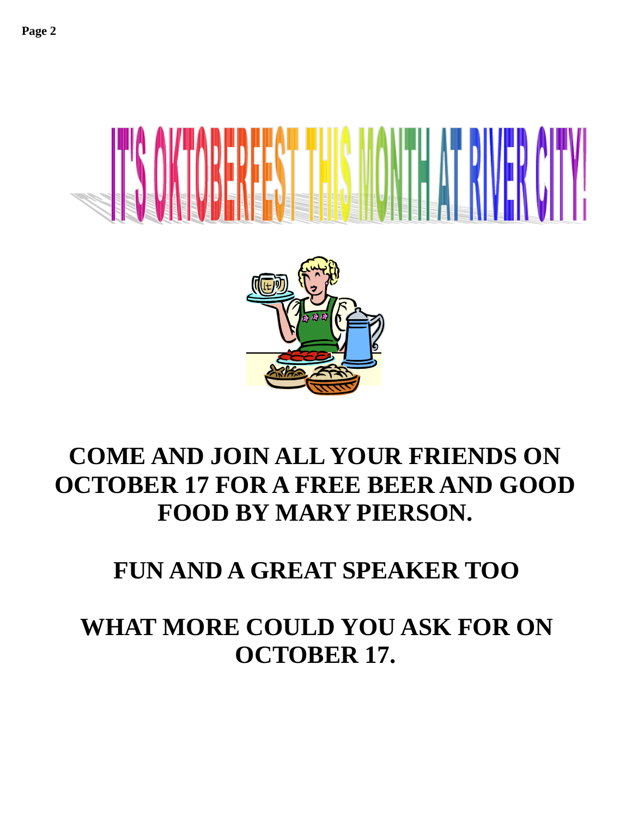



# **COME AND JOIN ALL YOUR FRIENDS ON OCTOBER 17 FOR A FREE BEER AND GOOD FOOD BY MARY PIERSON.**

# **FUN AND A GREAT SPEAKER TOO**

# **WHAT MORE COULD YOU ASK FOR ON OCTOBER 17.**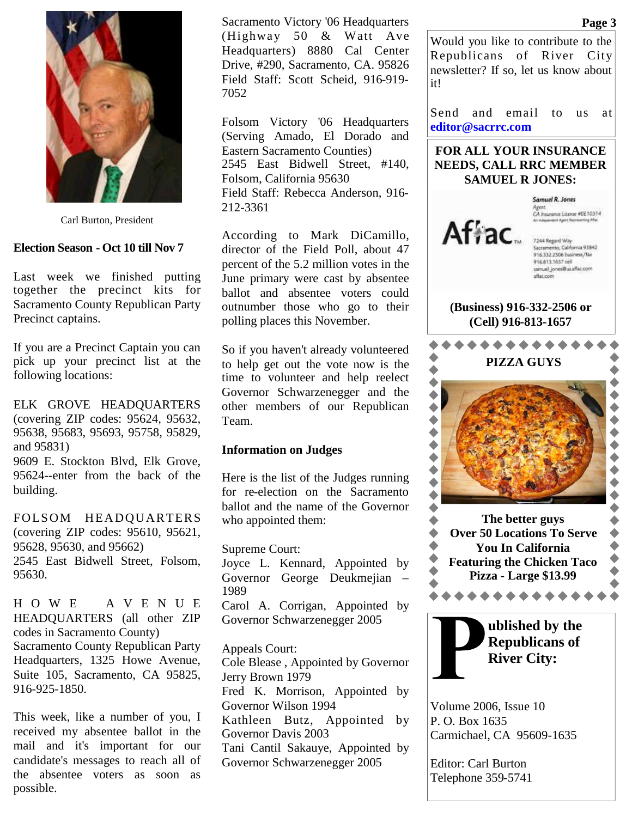

Carl Burton, President

#### **Election Season - Oct 10 till Nov 7**

Last week we finished putting together the precinct kits for Sacramento County Republican Party Precinct captains.

If you are a Precinct Captain you can pick up your precinct list at the following locations:

ELK GROVE HEADQUARTERS (covering ZIP codes: 95624, 95632, 95638, 95683, 95693, 95758, 95829, and 95831)

9609 E. Stockton Blvd, Elk Grove, 95624--enter from the back of the building.

FOLSOM HEADQUARTERS (covering ZIP codes: 95610, 95621, 95628, 95630, and 95662) 2545 East Bidwell Street, Folsom, 95630.

H O W E A V E N U E HEADQUARTERS (all other ZIP codes in Sacramento County) Sacramento County Republican Party Headquarters, 1325 Howe Avenue, Suite 105, Sacramento, CA 95825, 916-925-1850.

This week, like a number of you, I received my absentee ballot in the mail and it's important for our candidate's messages to reach all of the absentee voters as soon as possible.

Sacramento Victory '06 Headquarters (Highway 50 & Watt Ave Headquarters) 8880 Cal Center Drive, #290, Sacramento, CA. 95826 Field Staff: Scott Scheid, 916-919- 7052

Folsom Victory '06 Headquarters (Serving Amado, El Dorado and Eastern Sacramento Counties) 2545 East Bidwell Street, #140, Folsom, California 95630 Field Staff: Rebecca Anderson, 916- 212-3361

According to Mark DiCamillo, director of the Field Poll, about 47 percent of the 5.2 million votes in the June primary were cast by absentee ballot and absentee voters could outnumber those who go to their polling places this November.

So if you haven't already volunteered to help get out the vote now is the time to volunteer and help reelect Governor Schwarzenegger and the other members of our Republican Team.

#### **Information on Judges**

Here is the list of the Judges running for re-election on the Sacramento ballot and the name of the Governor who appointed them:

Supreme Court:

Joyce L. Kennard, Appointed by Governor George Deukmejian – 1989

Carol A. Corrigan, Appointed by Governor Schwarzenegger 2005

Appeals Court: Cole Blease , Appointed by Governor Jerry Brown 1979 Fred K. Morrison, Appointed by Governor Wilson 1994 Kathleen Butz, Appointed by Governor Davis 2003 Tani Cantil Sakauye, Appointed by Governor Schwarzenegger 2005

Would you like to contribute to the Republicans of River City newsletter? If so, let us know about

Send and email to us at **editor@sacrrc.com**

## **FOR ALL YOUR INSURANCE NEEDS, CALL RRC MEMBER SAMUEL R JONES:**



it!

Samuel R. Jones Agent<br>CA Insurance Literae #0E10314

7244 Regard Way<br>Sacramento, California 95842<br>916.332.2506 business/fax 916.813.1657 cell samuel\_jones@us.aflac.com aflac.com

### **(Business) 916-332-2506 or (Cell) 916-813-1657**





Volume 2006, Issue 10 P. O. Box 1635 Carmichael, CA 95609-1635

Editor: Carl Burton Telephone 359-5741

#### **Page 3**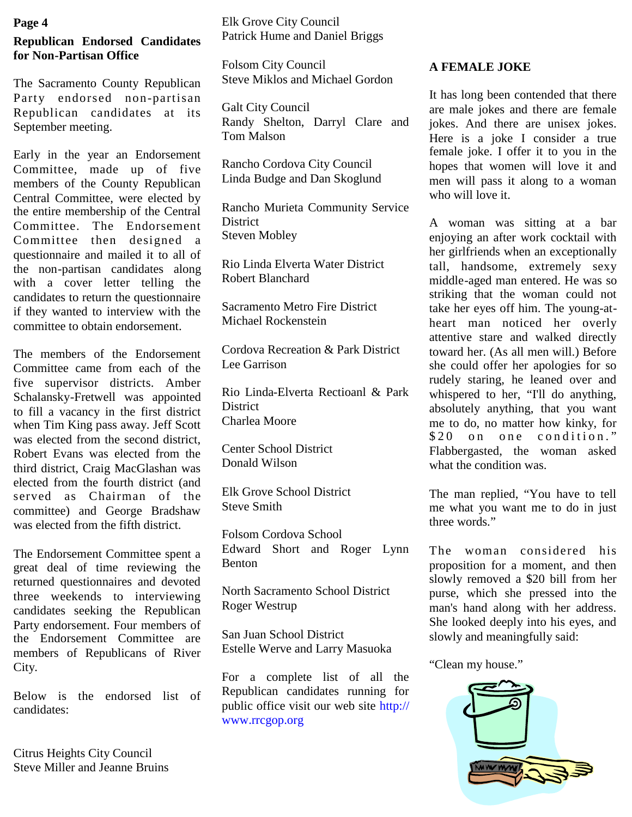### **Page 4**

## **Republican Endorsed Candidates for Non-Partisan Office**

The Sacramento County Republican Party endorsed non-partisan Republican candidates at its September meeting.

Early in the year an Endorsement Committee, made up of five members of the County Republican Central Committee, were elected by the entire membership of the Central Committee. The Endorsement Committee then designed a questionnaire and mailed it to all of the non-partisan candidates along with a cover letter telling the candidates to return the questionnaire if they wanted to interview with the committee to obtain endorsement.

The members of the Endorsement Committee came from each of the five supervisor districts. Amber Schalansky-Fretwell was appointed to fill a vacancy in the first district when Tim King pass away. Jeff Scott was elected from the second district, Robert Evans was elected from the third district, Craig MacGlashan was elected from the fourth district (and served as Chairman of the committee) and George Bradshaw was elected from the fifth district.

The Endorsement Committee spent a great deal of time reviewing the returned questionnaires and devoted three weekends to interviewing candidates seeking the Republican Party endorsement. Four members of the Endorsement Committee are members of Republicans of River City.

Below is the endorsed list of candidates:

Citrus Heights City Council Steve Miller and Jeanne Bruins Elk Grove City Council Patrick Hume and Daniel Briggs

Folsom City Council Steve Miklos and Michael Gordon

Galt City Council Randy Shelton, Darryl Clare and Tom Malson

Rancho Cordova City Council Linda Budge and Dan Skoglund

Rancho Murieta Community Service **District** Steven Mobley

Rio Linda Elverta Water District Robert Blanchard

Sacramento Metro Fire District Michael Rockenstein

Cordova Recreation & Park District Lee Garrison

Rio Linda-Elverta Rectioanl & Park **District** Charlea Moore

Center School District Donald Wilson

Elk Grove School District Steve Smith

Folsom Cordova School Edward Short and Roger Lynn Benton

North Sacramento School District Roger Westrup

San Juan School District Estelle Werve and Larry Masuoka

For a complete list of all the Republican candidates running for public office visit our web site http:// www.rrcgop.org

## **A FEMALE JOKE**

It has long been contended that there are male jokes and there are female jokes. And there are unisex jokes. Here is a joke I consider a true female joke. I offer it to you in the hopes that women will love it and men will pass it along to a woman who will love it.

A woman was sitting at a bar enjoying an after work cocktail with her girlfriends when an exceptionally tall, handsome, extremely sexy middle-aged man entered. He was so striking that the woman could not take her eyes off him. The young-atheart man noticed her overly attentive stare and walked directly toward her. (As all men will.) Before she could offer her apologies for so rudely staring, he leaned over and whispered to her, "I'll do anything, absolutely anything, that you want me to do, no matter how kinky, for  $$20$  on one condition." Flabbergasted, the woman asked what the condition was.

The man replied, "You have to tell me what you want me to do in just three words."

The woman considered his proposition for a moment, and then slowly removed a \$20 bill from her purse, which she pressed into the man's hand along with her address. She looked deeply into his eyes, and slowly and meaningfully said:

"Clean my house."

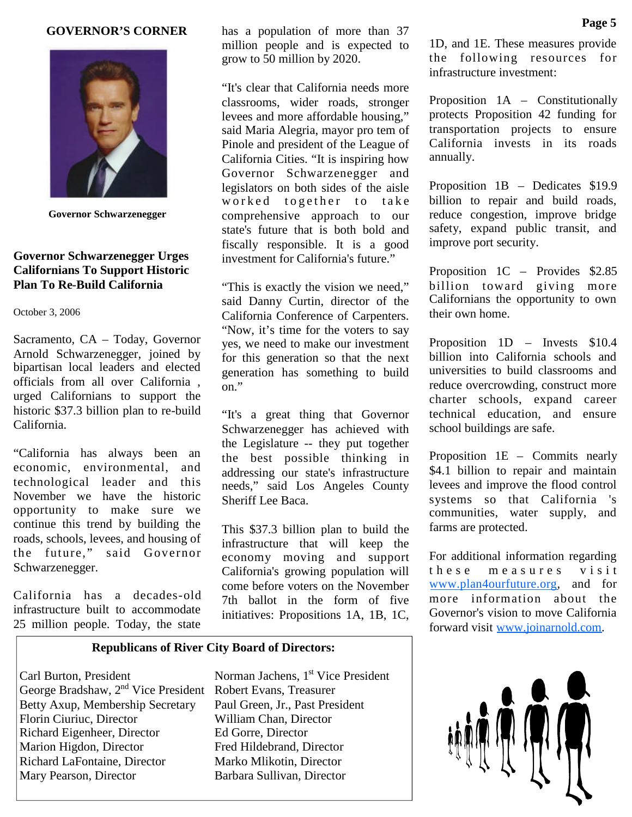#### **GOVERNOR'S CORNER**



**Governor Schwarzenegger**

## **Governor Schwarzenegger Urges Californians To Support Historic Plan To Re-Build California**

October 3, 2006

Sacramento, CA – Today, Governor Arnold Schwarzenegger, joined by bipartisan local leaders and elected officials from all over California , urged Californians to support the historic \$37.3 billion plan to re-build California.

"California has always been an economic, environmental, and technological leader and this November we have the historic opportunity to make sure we continue this trend by building the roads, schools, levees, and housing of the future," said Governor Schwarzenegger.

California has a decades-old infrastructure built to accommodate 25 million people. Today, the state

has a population of more than 37 million people and is expected to grow to 50 million by 2020.

"It's clear that California needs more classrooms, wider roads, stronger levees and more affordable housing," said Maria Alegria, mayor pro tem of Pinole and president of the League of California Cities. "It is inspiring how Governor Schwarzenegger and legislators on both sides of the aisle worked together to take comprehensive approach to our state's future that is both bold and fiscally responsible. It is a good investment for California's future."

"This is exactly the vision we need," said Danny Curtin, director of the California Conference of Carpenters. "Now, it's time for the voters to say yes, we need to make our investment for this generation so that the next generation has something to build on."

"It's a great thing that Governor Schwarzenegger has achieved with the Legislature -- they put together the best possible thinking in addressing our state's infrastructure needs," said Los Angeles County Sheriff Lee Baca.

This \$37.3 billion plan to build the infrastructure that will keep the economy moving and support California's growing population will come before voters on the November 7th ballot in the form of five initiatives: Propositions 1A, 1B, 1C,

#### **Republicans of River City Board of Directors:**

Carl Burton, President Norman Jachens, 1<sup>st</sup> Vice President George Bradshaw, 2nd Vice President Robert Evans, Treasurer Betty Axup, Membership Secretary Paul Green, Jr., Past President Florin Ciuriuc, Director William Chan, Director Richard Eigenheer, Director Ed Gorre, Director Marion Higdon, Director Fred Hildebrand, Director Richard LaFontaine, Director Marko Mlikotin, Director Mary Pearson, Director Barbara Sullivan, Director

1D, and 1E. These measures provide the following resources for infrastructure investment:

Proposition 1A – Constitutionally protects Proposition 42 funding for transportation projects to ensure California invests in its roads annually.

Proposition 1B – Dedicates \$19.9 billion to repair and build roads, reduce congestion, improve bridge safety, expand public transit, and improve port security.

Proposition 1C – Provides \$2.85 billion toward giving more Californians the opportunity to own their own home.

Proposition 1D – Invests \$10.4 billion into California schools and universities to build classrooms and reduce overcrowding, construct more charter schools, expand career technical education, and ensure school buildings are safe.

Proposition 1E – Commits nearly \$4.1 billion to repair and maintain levees and improve the flood control systems so that California 's communities, water supply, and farms are protected.

For additional information regarding these measures visit www.plan4ourfuture.org, and for more information about the Governor's vision to move California forward visit www.joinarnold.com.